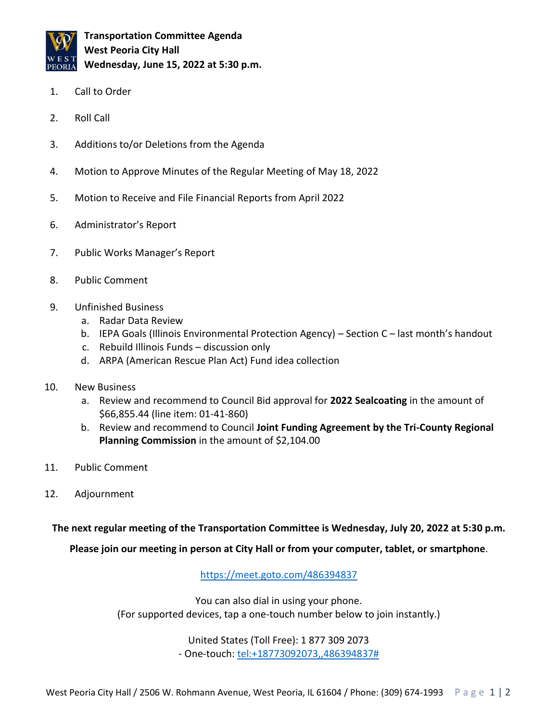

**Transportation Committee Agenda West Peoria City Hall Wednesday, June 15, 2022 at 5:30 p.m.**

- 1. Call to Order
- 2. Roll Call
- 3. Additions to/or Deletions from the Agenda
- 4. Motion to Approve Minutes of the Regular Meeting of May 18, 2022
- 5. Motion to Receive and File Financial Reports from April 2022
- 6. Administrator's Report
- 7. Public Works Manager's Report
- 8. Public Comment
- 9. Unfinished Business
	- a. Radar Data Review
	- b. IEPA Goals (Illinois Environmental Protection Agency) Section C last month's handout
	- c. Rebuild Illinois Funds discussion only
	- d. ARPA (American Rescue Plan Act) Fund idea collection
- 10. New Business
	- a. Review and recommend to Council Bid approval for **2022 Sealcoating** in the amount of \$66,855.44 (line item: 01-41-860)
	- b. Review and recommend to Council **Joint Funding Agreement by the Tri-County Regional Planning Commission** in the amount of \$2,104.00
- 11. Public Comment
- 12. Adjournment

## **The next regular meeting of the Transportation Committee is Wednesday, July 20, 2022 at 5:30 p.m.**

**Please join our meeting in person at City Hall or from your computer, tablet, or smartphone**.

<https://meet.goto.com/486394837>

You can also dial in using your phone. (For supported devices, tap a one-touch number below to join instantly.)

> United States (Toll Free): 1 877 309 2073 - One-touch: [tel:+18773092073,,486394837#](tel:+18773092073,,486394837)